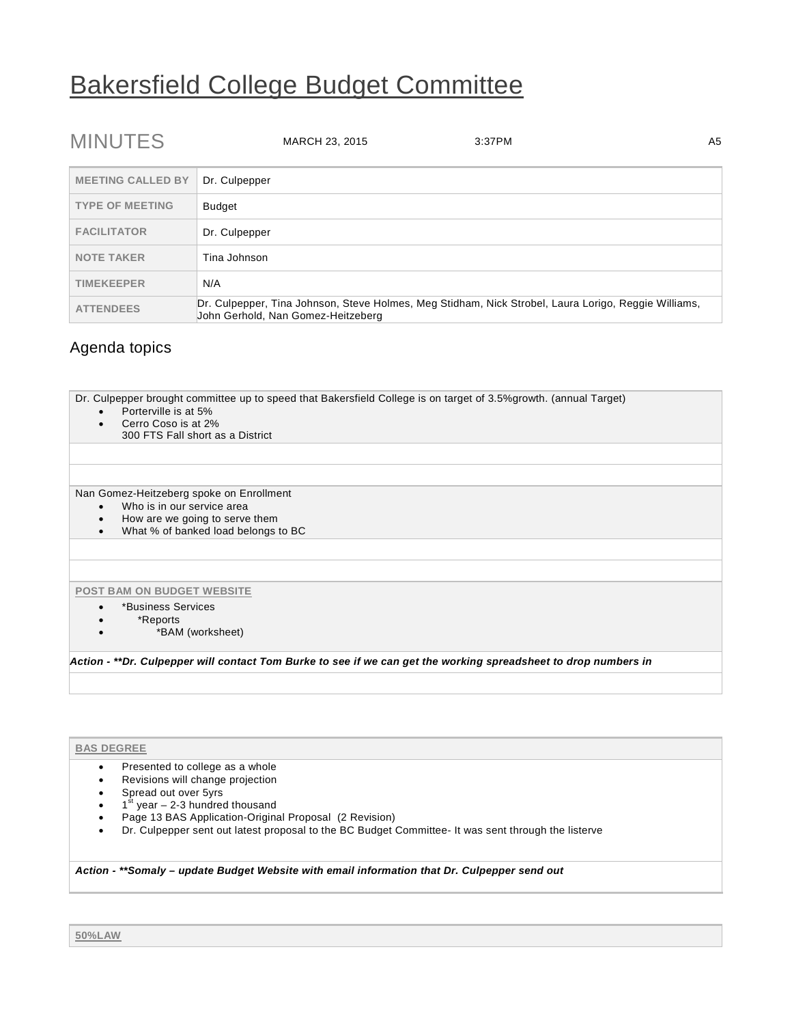# Bakersfield College Budget Committee

| <b>MINUTES</b>           | A <sub>5</sub><br>MARCH 23, 2015<br>3:37PM                                                                                                 |
|--------------------------|--------------------------------------------------------------------------------------------------------------------------------------------|
| <b>MEETING CALLED BY</b> | Dr. Culpepper                                                                                                                              |
| <b>TYPE OF MEETING</b>   | <b>Budget</b>                                                                                                                              |
| <b>FACILITATOR</b>       | Dr. Culpepper                                                                                                                              |
| <b>NOTE TAKER</b>        | Tina Johnson                                                                                                                               |
| <b>TIMEKEEPER</b>        | N/A                                                                                                                                        |
| <b>ATTENDEES</b>         | Dr. Culpepper, Tina Johnson, Steve Holmes, Meg Stidham, Nick Strobel, Laura Lorigo, Reggie Williams,<br>John Gerhold, Nan Gomez-Heitzeberg |

## Agenda topics

Dr. Culpepper brought committee up to speed that Bakersfield College is on target of 3.5%growth. (annual Target)

- Porterville is at 5%
- Cerro Coso is at 2%
	- 300 FTS Fall short as a District

Nan Gomez-Heitzeberg spoke on Enrollment

- Who is in our service area
- How are we going to serve them
- What % of banked load belongs to BC

#### **POST BAM ON BUDGET WEBSITE**

- \*Business Services
- \*Reports
- \*BAM (worksheet)

*Action - \*\*Dr. Culpepper will contact Tom Burke to see if we can get the working spreadsheet to drop numbers in*

### **BAS DEGREE**

- Presented to college as a whole
- Revisions will change projection
- Spread out over 5yrs
- $\bullet$  1<sup>st</sup> year 2-3 hundred thousand
- Page 13 BAS Application-Original Proposal (2 Revision)
- Dr. Culpepper sent out latest proposal to the BC Budget Committee- It was sent through the listerve

#### *Action - \*\*Somaly – update Budget Website with email information that Dr. Culpepper send out*